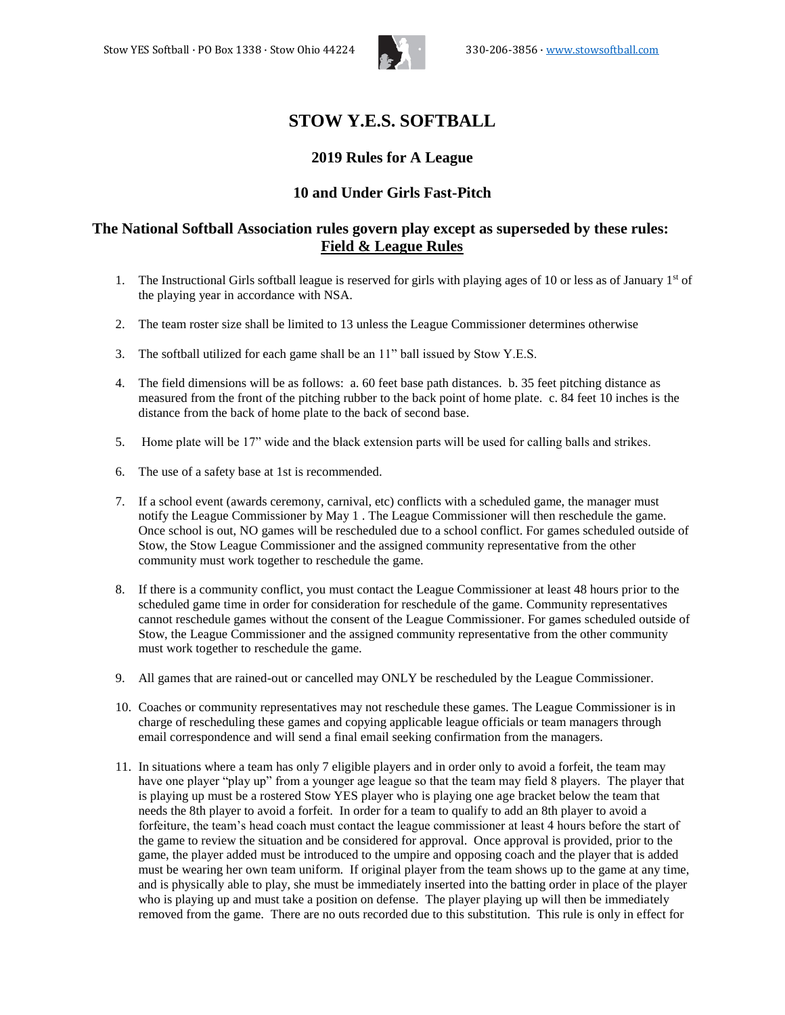

# **STOW Y.E.S. SOFTBALL**

# **2019 Rules for A League**

# **10 and Under Girls Fast-Pitch**

# **The National Softball Association rules govern play except as superseded by these rules: Field & League Rules**

- 1. The Instructional Girls softball league is reserved for girls with playing ages of 10 or less as of January  $1<sup>st</sup>$  of the playing year in accordance with NSA.
- 2. The team roster size shall be limited to 13 unless the League Commissioner determines otherwise
- 3. The softball utilized for each game shall be an 11" ball issued by Stow Y.E.S.
- 4. The field dimensions will be as follows: a. 60 feet base path distances. b. 35 feet pitching distance as measured from the front of the pitching rubber to the back point of home plate. c. 84 feet 10 inches is the distance from the back of home plate to the back of second base.
- 5. Home plate will be 17" wide and the black extension parts will be used for calling balls and strikes.
- 6. The use of a safety base at 1st is recommended.
- 7. If a school event (awards ceremony, carnival, etc) conflicts with a scheduled game, the manager must notify the League Commissioner by May 1 . The League Commissioner will then reschedule the game. Once school is out, NO games will be rescheduled due to a school conflict. For games scheduled outside of Stow, the Stow League Commissioner and the assigned community representative from the other community must work together to reschedule the game.
- 8. If there is a community conflict, you must contact the League Commissioner at least 48 hours prior to the scheduled game time in order for consideration for reschedule of the game. Community representatives cannot reschedule games without the consent of the League Commissioner. For games scheduled outside of Stow, the League Commissioner and the assigned community representative from the other community must work together to reschedule the game.
- 9. All games that are rained-out or cancelled may ONLY be rescheduled by the League Commissioner.
- 10. Coaches or community representatives may not reschedule these games. The League Commissioner is in charge of rescheduling these games and copying applicable league officials or team managers through email correspondence and will send a final email seeking confirmation from the managers.
- 11. In situations where a team has only 7 eligible players and in order only to avoid a forfeit, the team may have one player "play up" from a younger age league so that the team may field 8 players. The player that is playing up must be a rostered Stow YES player who is playing one age bracket below the team that needs the 8th player to avoid a forfeit. In order for a team to qualify to add an 8th player to avoid a forfeiture, the team's head coach must contact the league commissioner at least 4 hours before the start of the game to review the situation and be considered for approval. Once approval is provided, prior to the game, the player added must be introduced to the umpire and opposing coach and the player that is added must be wearing her own team uniform. If original player from the team shows up to the game at any time, and is physically able to play, she must be immediately inserted into the batting order in place of the player who is playing up and must take a position on defense. The player playing up will then be immediately removed from the game. There are no outs recorded due to this substitution. This rule is only in effect for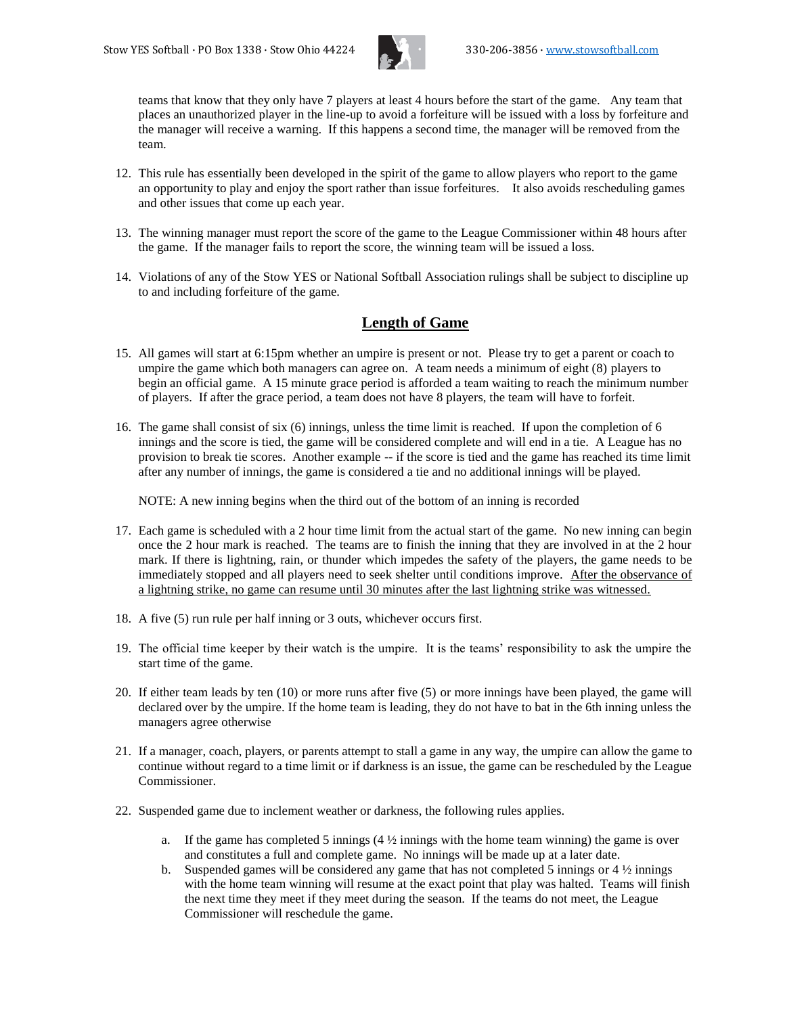

teams that know that they only have 7 players at least 4 hours before the start of the game. Any team that places an unauthorized player in the line-up to avoid a forfeiture will be issued with a loss by forfeiture and the manager will receive a warning. If this happens a second time, the manager will be removed from the team.

- 12. This rule has essentially been developed in the spirit of the game to allow players who report to the game an opportunity to play and enjoy the sport rather than issue forfeitures. It also avoids rescheduling games and other issues that come up each year.
- 13. The winning manager must report the score of the game to the League Commissioner within 48 hours after the game. If the manager fails to report the score, the winning team will be issued a loss.
- 14. Violations of any of the Stow YES or National Softball Association rulings shall be subject to discipline up to and including forfeiture of the game.

#### **Length of Game**

- 15. All games will start at 6:15pm whether an umpire is present or not. Please try to get a parent or coach to umpire the game which both managers can agree on. A team needs a minimum of eight (8) players to begin an official game. A 15 minute grace period is afforded a team waiting to reach the minimum number of players. If after the grace period, a team does not have 8 players, the team will have to forfeit.
- 16. The game shall consist of six (6) innings, unless the time limit is reached. If upon the completion of 6 innings and the score is tied, the game will be considered complete and will end in a tie. A League has no provision to break tie scores. Another example -- if the score is tied and the game has reached its time limit after any number of innings, the game is considered a tie and no additional innings will be played.

NOTE: A new inning begins when the third out of the bottom of an inning is recorded

- 17. Each game is scheduled with a 2 hour time limit from the actual start of the game. No new inning can begin once the 2 hour mark is reached. The teams are to finish the inning that they are involved in at the 2 hour mark. If there is lightning, rain, or thunder which impedes the safety of the players, the game needs to be immediately stopped and all players need to seek shelter until conditions improve. After the observance of a lightning strike, no game can resume until 30 minutes after the last lightning strike was witnessed.
- 18. A five (5) run rule per half inning or 3 outs, whichever occurs first.
- 19. The official time keeper by their watch is the umpire. It is the teams' responsibility to ask the umpire the start time of the game.
- 20. If either team leads by ten (10) or more runs after five (5) or more innings have been played, the game will declared over by the umpire. If the home team is leading, they do not have to bat in the 6th inning unless the managers agree otherwise
- 21. If a manager, coach, players, or parents attempt to stall a game in any way, the umpire can allow the game to continue without regard to a time limit or if darkness is an issue, the game can be rescheduled by the League Commissioner.
- 22. Suspended game due to inclement weather or darkness, the following rules applies.
	- a. If the game has completed 5 innings  $(4 \frac{1}{2})$  innings with the home team winning) the game is over and constitutes a full and complete game. No innings will be made up at a later date.
	- b. Suspended games will be considered any game that has not completed 5 innings or  $4\frac{1}{2}$  innings with the home team winning will resume at the exact point that play was halted. Teams will finish the next time they meet if they meet during the season. If the teams do not meet, the League Commissioner will reschedule the game.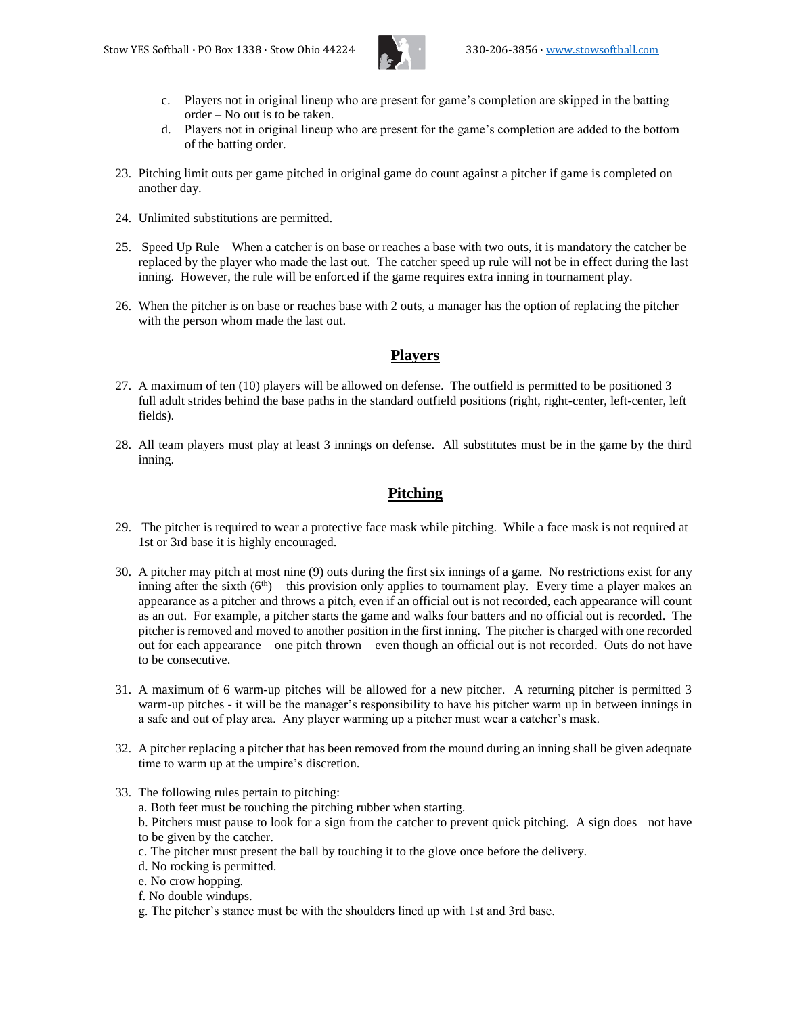

- c. Players not in original lineup who are present for game's completion are skipped in the batting order – No out is to be taken.
- d. Players not in original lineup who are present for the game's completion are added to the bottom of the batting order.
- 23. Pitching limit outs per game pitched in original game do count against a pitcher if game is completed on another day.
- 24. Unlimited substitutions are permitted.
- 25. Speed Up Rule When a catcher is on base or reaches a base with two outs, it is mandatory the catcher be replaced by the player who made the last out. The catcher speed up rule will not be in effect during the last inning. However, the rule will be enforced if the game requires extra inning in tournament play.
- 26. When the pitcher is on base or reaches base with 2 outs, a manager has the option of replacing the pitcher with the person whom made the last out.

#### **Players**

- 27. A maximum of ten (10) players will be allowed on defense. The outfield is permitted to be positioned 3 full adult strides behind the base paths in the standard outfield positions (right, right-center, left-center, left fields).
- 28. All team players must play at least 3 innings on defense. All substitutes must be in the game by the third inning.

# **Pitching**

- 29. The pitcher is required to wear a protective face mask while pitching. While a face mask is not required at 1st or 3rd base it is highly encouraged.
- 30. A pitcher may pitch at most nine (9) outs during the first six innings of a game. No restrictions exist for any inning after the sixth  $(6<sup>th</sup>)$  – this provision only applies to tournament play. Every time a player makes an appearance as a pitcher and throws a pitch, even if an official out is not recorded, each appearance will count as an out. For example, a pitcher starts the game and walks four batters and no official out is recorded. The pitcher is removed and moved to another position in the first inning. The pitcher is charged with one recorded out for each appearance – one pitch thrown – even though an official out is not recorded. Outs do not have to be consecutive.
- 31. A maximum of 6 warm-up pitches will be allowed for a new pitcher. A returning pitcher is permitted 3 warm-up pitches - it will be the manager's responsibility to have his pitcher warm up in between innings in a safe and out of play area. Any player warming up a pitcher must wear a catcher's mask.
- 32. A pitcher replacing a pitcher that has been removed from the mound during an inning shall be given adequate time to warm up at the umpire's discretion.
- 33. The following rules pertain to pitching:
	- a. Both feet must be touching the pitching rubber when starting.
	- b. Pitchers must pause to look for a sign from the catcher to prevent quick pitching. A sign does not have to be given by the catcher.
	- c. The pitcher must present the ball by touching it to the glove once before the delivery.
	- d. No rocking is permitted.
	- e. No crow hopping.
	- f. No double windups.
	- g. The pitcher's stance must be with the shoulders lined up with 1st and 3rd base.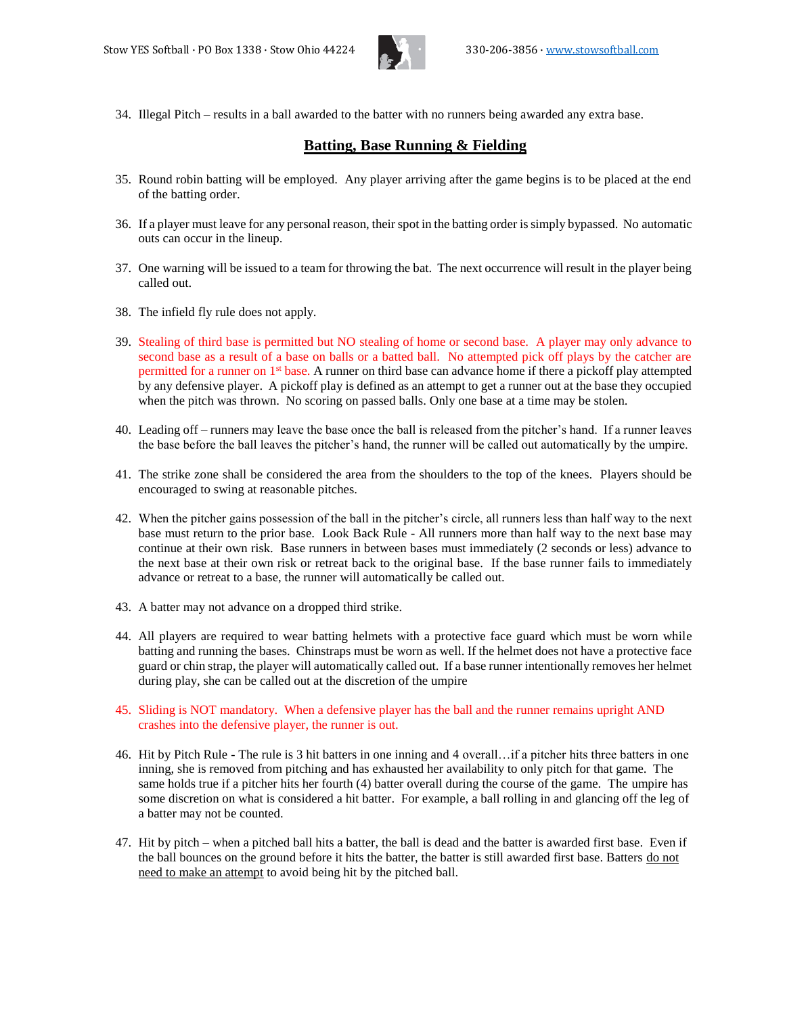

34. Illegal Pitch – results in a ball awarded to the batter with no runners being awarded any extra base.

# **Batting, Base Running & Fielding**

- 35. Round robin batting will be employed. Any player arriving after the game begins is to be placed at the end of the batting order.
- 36. If a player must leave for any personal reason, their spot in the batting order is simply bypassed. No automatic outs can occur in the lineup.
- 37. One warning will be issued to a team for throwing the bat. The next occurrence will result in the player being called out.
- 38. The infield fly rule does not apply.
- 39. Stealing of third base is permitted but NO stealing of home or second base. A player may only advance to second base as a result of a base on balls or a batted ball. No attempted pick off plays by the catcher are permitted for a runner on 1st base. A runner on third base can advance home if there a pickoff play attempted by any defensive player. A pickoff play is defined as an attempt to get a runner out at the base they occupied when the pitch was thrown. No scoring on passed balls. Only one base at a time may be stolen.
- 40. Leading off runners may leave the base once the ball is released from the pitcher's hand. If a runner leaves the base before the ball leaves the pitcher's hand, the runner will be called out automatically by the umpire.
- 41. The strike zone shall be considered the area from the shoulders to the top of the knees. Players should be encouraged to swing at reasonable pitches.
- 42. When the pitcher gains possession of the ball in the pitcher's circle, all runners less than half way to the next base must return to the prior base. Look Back Rule - All runners more than half way to the next base may continue at their own risk. Base runners in between bases must immediately (2 seconds or less) advance to the next base at their own risk or retreat back to the original base. If the base runner fails to immediately advance or retreat to a base, the runner will automatically be called out.
- 43. A batter may not advance on a dropped third strike.
- 44. All players are required to wear batting helmets with a protective face guard which must be worn while batting and running the bases. Chinstraps must be worn as well. If the helmet does not have a protective face guard or chin strap, the player will automatically called out. If a base runner intentionally removes her helmet during play, she can be called out at the discretion of the umpire
- 45. Sliding is NOT mandatory. When a defensive player has the ball and the runner remains upright AND crashes into the defensive player, the runner is out.
- 46. Hit by Pitch Rule The rule is 3 hit batters in one inning and 4 overall…if a pitcher hits three batters in one inning, she is removed from pitching and has exhausted her availability to only pitch for that game. The same holds true if a pitcher hits her fourth (4) batter overall during the course of the game. The umpire has some discretion on what is considered a hit batter. For example, a ball rolling in and glancing off the leg of a batter may not be counted.
- 47. Hit by pitch when a pitched ball hits a batter, the ball is dead and the batter is awarded first base. Even if the ball bounces on the ground before it hits the batter, the batter is still awarded first base. Batters do not need to make an attempt to avoid being hit by the pitched ball.